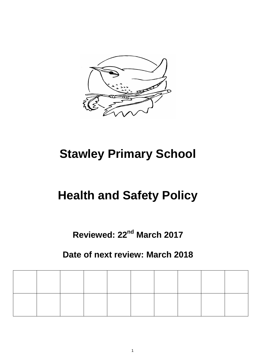

# **Stawley Primary School**

## **Health and Safety Policy**

## **Reviewed: 22nd March 2017**

### **Date of next review: March 2018**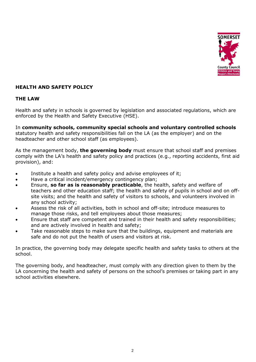

#### **HEALTH AND SAFETY POLICY**

#### **THE LAW**

Health and safety in schools is governed by legislation and associated regulations, which are enforced by the Health and Safety Executive (HSE).

In **community schools, community special schools and voluntary controlled schools** statutory health and safety responsibilities fall on the LA (as the employer) and on the headteacher and other school staff (as employees).

As the management body, **the governing body** must ensure that school staff and premises comply with the LA's health and safety policy and practices (e.g., reporting accidents, first aid provision), and:

- Institute a health and safety policy and advise employees of it;
- Have a critical incident/emergency contingency plan;
- Ensure, **so far as is reasonably practicable**, the health, safety and welfare of teachers and other education staff; the health and safety of pupils in school and on offsite visits; and the health and safety of visitors to schools, and volunteers involved in any school activity;
- Assess the risk of all activities, both in school and off-site; introduce measures to manage those risks, and tell employees about those measures;
- Ensure that staff are competent and trained in their health and safety responsibilities; and are actively involved in health and safety;
- Take reasonable steps to make sure that the buildings, equipment and materials are safe and do not put the health of users and visitors at risk.

In practice, the governing body may delegate specific health and safety tasks to others at the school.

The governing body, and headteacher, must comply with any direction given to them by the LA concerning the health and safety of persons on the school's premises or taking part in any school activities elsewhere.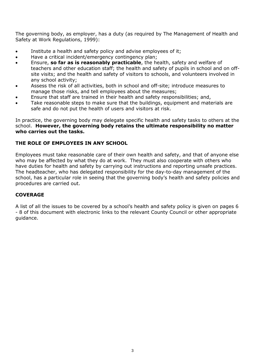The governing body, as employer, has a duty (as required by The Management of Health and Safety at Work Regulations, 1999):

- Institute a health and safety policy and advise employees of it;
- Have a critical incident/emergency contingency plan;
- Ensure, **so far as is reasonably practicable**, the health, safety and welfare of teachers and other education staff; the health and safety of pupils in school and on offsite visits; and the health and safety of visitors to schools, and volunteers involved in any school activity;
- Assess the risk of all activities, both in school and off-site; introduce measures to manage those risks, and tell employees about the measures;
- Ensure that staff are trained in their health and safety responsibilities; and,
- Take reasonable steps to make sure that the buildings, equipment and materials are safe and do not put the health of users and visitors at risk.

In practice, the governing body may delegate specific health and safety tasks to others at the school. **However, the governing body retains the ultimate responsibility no matter who carries out the tasks.**

#### **THE ROLE OF EMPLOYEES IN ANY SCHOOL**

Employees must take reasonable care of their own health and safety, and that of anyone else who may be affected by what they do at work. They must also cooperate with others who have duties for health and safety by carrying out instructions and reporting unsafe practices. The headteacher, who has delegated responsibility for the day-to-day management of the school, has a particular role in seeing that the governing body's health and safety policies and procedures are carried out.

#### **COVERAGE**

A list of all the issues to be covered by a school's health and safety policy is given on pages 6 - 8 of this document with electronic links to the relevant County Council or other appropriate guidance.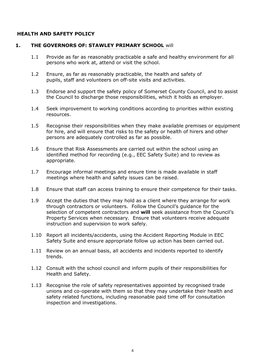#### **HEALTH AND SAFETY POLICY**

#### **1. THE GOVERNORS OF: STAWLEY PRIMARY SCHOOL** will

- 1.1 Provide as far as reasonably practicable a safe and healthy environment for all persons who work at, attend or visit the school.
- 1.2 Ensure, as far as reasonably practicable, the health and safety of pupils, staff and volunteers on off-site visits and activities.
- 1.3 Endorse and support the safety policy of Somerset County Council, and to assist the Council to discharge those responsibilities, which it holds as employer.
- 1.4 Seek improvement to working conditions according to priorities within existing resources.
- 1.5 Recognise their responsibilities when they make available premises or equipment for hire, and will ensure that risks to the safety or health of hirers and other persons are adequately controlled as far as possible.
- 1.6 Ensure that Risk Assessments are carried out within the school using an identified method for recording (e.g., EEC Safety Suite) and to review as appropriate.
- 1.7 Encourage informal meetings and ensure time is made available in staff meetings where health and safety issues can be raised.
- 1.8 Ensure that staff can access training to ensure their competence for their tasks.
- 1.9 Accept the duties that they may hold as a client where they arrange for work through contractors or volunteers. Follow the Council's guidance for the selection of competent contractors and **will** seek assistance from the Council's Property Services when necessary. Ensure that volunteers receive adequate instruction and supervision to work safely.
- 1.10 Report all incidents/accidents, using the Accident Reporting Module in EEC Safety Suite and ensure appropriate follow up action has been carried out.
- 1.11 Review on an annual basis, all accidents and incidents reported to identify trends.
- 1.12 Consult with the school council and inform pupils of their responsibilities for Health and Safety.
- 1.13 Recognise the role of safety representatives appointed by recognised trade unions and co-operate with them so that they may undertake their health and safety related functions, including reasonable paid time off for consultation inspection and investigations.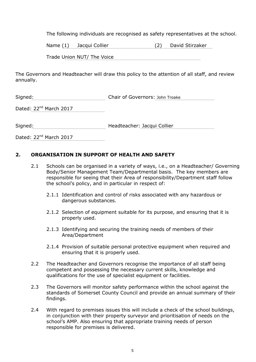The following individuals are recognised as safety representatives at the school.

Name (1) Jacqui Collier (2) David Stirzaker

Trade Union NUT/ The Voice

The Governors and Headteacher will draw this policy to the attention of all staff, and review annually.

Signed: Chair of Governors: John Troake

Dated: 22<sup>nd</sup> March 2017

Signed: 1990 - Manual Manual Meadteacher: Jacqui Collier 1990 - Manual Meadteacher: Jacqui Collier 1990 - Manual Meading Meading Meading Meading Meading Meading Meading Meading Meading Meading Meading Meading Meading Meadi

Dated: 22<sup>nd</sup> March 2017

#### **2. ORGANISATION IN SUPPORT OF HEALTH AND SAFETY**

- 2.1 Schools can be organised in a variety of ways, i.e., on a Headteacher/ Governing Body/Senior Management Team/Departmental basis. The key members are responsible for seeing that their Area of responsibility/Department staff follow the school's policy, and in particular in respect of:
	- 2.1.1 Identification and control of risks associated with any hazardous or dangerous substances.
	- 2.1.2 Selection of equipment suitable for its purpose, and ensuring that it is properly used.
	- 2.1.3 Identifying and securing the training needs of members of their Area/Department
	- 2.1.4 Provision of suitable personal protective equipment when required and ensuring that it is properly used.
- 2.2 The Headteacher and Governors recognise the importance of all staff being competent and possessing the necessary current skills, knowledge and qualifications for the use of specialist equipment or facilities.
- 2.3 The Governors will monitor safety performance within the school against the standards of Somerset County Council and provide an annual summary of their findings.
- 2.4 With regard to premises issues this will include a check of the school buildings, in conjunction with their property surveyor and prioritisation of needs on the school's AMP. Also ensuring that appropriate training needs of person responsible for premises is delivered.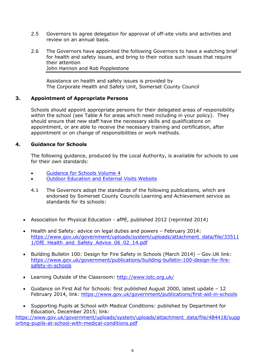- 2.5 Governors to agree delegation for approval of off-site visits and activities and review on an annual basis.
- 2.6 The Governors have appointed the following Governors to have a watching brief for health and safety issues, and bring to their notice such issues that require their attention John Hannon and Rob Popplestone

Assistance on health and safety issues is provided by The Corporate Health and Safety Unit, Somerset County Council

#### **3. Appointment of Appropriate Persons**

Schools should appoint appropriate persons for their delegated areas of responsibility within the school (see Table A for areas which need including in your policy). They should ensure that new staff have the necessary skills and qualifications on appointment, or are able to receive the necessary training and certification, after appointment or on change of responsibilities or work methods.

#### **4. Guidance for Schools**

The following guidance, produced by the Local Authority, is available for schools to use for their own standards:

- [Guidance for Schools Volume 4](http://www.six.somerset.gov.uk/sixv3/do_download.asp?did=17213)
- [Outdoor Education and External Visits Website](http://www.six.somerset.gov.uk/sccoea)
- 4.1 The Governors adopt the standards of the following publications, which are endorsed by Somerset County Councils Learning and Achievement service as standards for its schools:
- Association for Physical Education afPE, published 2012 (reprinted 2014)
- Health and Safety: advice on legal duties and powers February 2014: [https://www.gov.uk/government/uploads/system/uploads/attachment\\_data/file/33511](https://www.gov.uk/government/uploads/system/uploads/attachment_data/file/335111/DfE_Health_and_Safety_Advice_06_02_14.pdf) [1/DfE\\_Health\\_and\\_Safety\\_Advice\\_06\\_02\\_14.pdf](https://www.gov.uk/government/uploads/system/uploads/attachment_data/file/335111/DfE_Health_and_Safety_Advice_06_02_14.pdf)
- Building Bulletin 100: Design for Fire Safety in Schools (March 2014) Gov.UK link: [https://www.gov.uk/government/publications/building-bulletin-100-design-for-fire](https://www.gov.uk/government/publications/building-bulletin-100-design-for-fire-safety-in-schools)[safety-in-schools](https://www.gov.uk/government/publications/building-bulletin-100-design-for-fire-safety-in-schools)
- Learning Outside of the Classroom:<http://www.lotc.org.uk/>
- Guidance on First Aid for Schools: first published August 2000, latest update 12 February 2014, link:<https://www.gov.uk/government/publications/first-aid-in-schools>
- Supporting Pupils at School with Medical Conditions: published by Department for Education, December 2015; link:

[https://www.gov.uk/government/uploads/system/uploads/attachment\\_data/file/484418/supp](https://www.gov.uk/government/uploads/system/uploads/attachment_data/file/484418/supporting-pupils-at-school-with-medical-conditions.pdf) [orting-pupils-at-school-with-medical-conditions.pdf](https://www.gov.uk/government/uploads/system/uploads/attachment_data/file/484418/supporting-pupils-at-school-with-medical-conditions.pdf)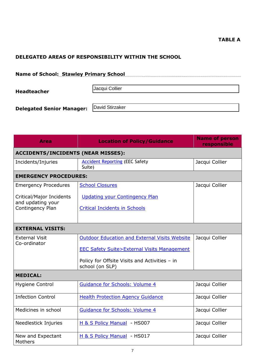#### **TABLE A**

#### **DELEGATED AREAS OF RESPONSIBILITY WITHIN THE SCHOOL**

| <b>Name of School: Stawley Primary School</b> |                 |
|-----------------------------------------------|-----------------|
| <b>Headteacher</b>                            | Jacqui Collier  |
| <b>Delegated Senior Manager:</b>              | David Stirzaker |

| <b>Area</b>                               | <b>Location of Policy/Guidance</b>                               | <b>Name of person</b><br>responsible |  |  |  |
|-------------------------------------------|------------------------------------------------------------------|--------------------------------------|--|--|--|
| <b>ACCIDENTS/INCIDENTS (NEAR MISSES):</b> |                                                                  |                                      |  |  |  |
| Incidents/Injuries                        | <b>Accident Reporting (EEC Safety</b><br>Suite)                  | Jacqui Collier                       |  |  |  |
| <b>EMERGENCY PROCEDURES:</b>              |                                                                  |                                      |  |  |  |
| <b>Emergency Procedures</b>               | <b>School Closures</b>                                           | Jacqui Collier                       |  |  |  |
| Critical/Major Incidents                  | <b>Updating your Contingency Plan</b>                            |                                      |  |  |  |
| and updating your<br>Contingency Plan     | <b>Critical Incidents in Schools</b>                             |                                      |  |  |  |
|                                           |                                                                  |                                      |  |  |  |
| <b>EXTERNAL VISITS:</b>                   |                                                                  |                                      |  |  |  |
| <b>External Visit</b><br>Co-ordinator     | <b>Outdoor Education and External Visits Website</b>             | Jacqui Collier                       |  |  |  |
|                                           | <b>EEC Safety Suite&gt;External Visits Management</b>            |                                      |  |  |  |
|                                           | Policy for Offsite Visits and Activities - in<br>school (on SLP) |                                      |  |  |  |
| <b>MEDICAL:</b>                           |                                                                  |                                      |  |  |  |
| <b>Hygiene Control</b>                    | <b>Guidance for Schools: Volume 4</b>                            | Jacqui Collier                       |  |  |  |
| <b>Infection Control</b>                  | <b>Health Protection Agency Guidance</b>                         | Jacqui Collier                       |  |  |  |
| Medicines in school                       | <b>Guidance for Schools: Volume 4</b>                            | Jacqui Collier                       |  |  |  |
| Needlestick Injuries                      | H & S Policy Manual - HS007                                      | Jacqui Collier                       |  |  |  |
| New and Expectant<br>Mothers              | H & S Policy Manual - HS017                                      | Jacqui Collier                       |  |  |  |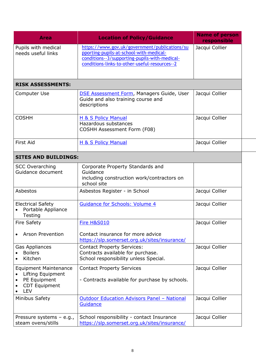| <b>Area</b>                                                                                             | <b>Location of Policy/Guidance</b>                                                                                                                                                         | <b>Name of person</b><br>responsible |
|---------------------------------------------------------------------------------------------------------|--------------------------------------------------------------------------------------------------------------------------------------------------------------------------------------------|--------------------------------------|
| Pupils with medical<br>needs useful links                                                               | https://www.gov.uk/government/publications/su<br>pporting-pupils-at-school-with-medical-<br>conditions--3/supporting-pupils-with-medical-<br>conditions-links-to-other-useful-resources--2 | Jacqui Collier                       |
| <b>RISK ASSESSMENTS:</b>                                                                                |                                                                                                                                                                                            |                                      |
| Computer Use                                                                                            | <b>DSE Assessment Form, Managers Guide, User</b><br>Guide and also training course and<br>descriptions                                                                                     | Jacqui Collier                       |
| <b>COSHH</b>                                                                                            | H & S Policy Manual<br>Hazardous substances<br><b>COSHH Assessment Form (F08)</b>                                                                                                          | Jacqui Collier                       |
| <b>First Aid</b>                                                                                        | H & S Policy Manual                                                                                                                                                                        | Jacqui Collier                       |
| <b>SITES AND BUILDINGS:</b>                                                                             |                                                                                                                                                                                            |                                      |
| <b>SCC Overarching</b><br>Guidance document                                                             | Corporate Property Standards and<br>Guidance<br>including construction work/contractors on<br>school site                                                                                  |                                      |
| Asbestos                                                                                                | Asbestos Register - in School                                                                                                                                                              | Jacqui Collier                       |
| <b>Electrical Safety</b><br>Portable Appliance<br>Testing                                               | <b>Guidance for Schools: Volume 4</b>                                                                                                                                                      | Jacqui Collier                       |
| <b>Fire Safety</b>                                                                                      | <b>Fire H&amp;S010</b>                                                                                                                                                                     | Jacqui Collier                       |
| <b>Arson Prevention</b>                                                                                 | Contact insurance for more advice<br>https://slp.somerset.org.uk/sites/insurance/                                                                                                          |                                      |
| Gas Appliances<br><b>Boilers</b><br>Kitchen                                                             | <b>Contact Property Services:</b><br>Contracts available for purchase.<br>School responsibility unless Special.                                                                            | Jacqui Collier                       |
| <b>Equipment Maintenance</b><br>Lifting Equipment<br>PE Equipment<br><b>CDT Equipment</b><br><b>LEV</b> | <b>Contact Property Services</b><br>- Contracts available for purchase by schools.                                                                                                         | Jacqui Collier                       |
| Minibus Safety                                                                                          | <b>Outdoor Education Advisors Panel - National</b><br>Guidance                                                                                                                             | Jacqui Collier                       |
| Pressure systems - e.g.,<br>steam ovens/stills                                                          | School responsibility - contact Insurance<br>https://slp.somerset.org.uk/sites/insurance/                                                                                                  | Jacqui Collier                       |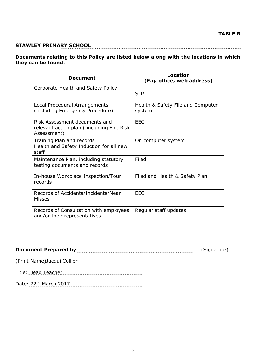#### **STAWLEY PRIMARY SCHOOL**

#### **Documents relating to this Policy are listed below along with the locations in which they can be found**:

| <b>Document</b>                                                                           | Location<br>(E.g. office, web address)      |
|-------------------------------------------------------------------------------------------|---------------------------------------------|
| Corporate Health and Safety Policy                                                        | <b>SLP</b>                                  |
| Local Procedural Arrangements<br>(including Emergency Procedure)                          | Health & Safety File and Computer<br>system |
| Risk Assessment documents and<br>relevant action plan (including Fire Risk<br>Assessment) | EEC                                         |
| Training Plan and records<br>Health and Safety Induction for all new<br>staff             | On computer system                          |
| Maintenance Plan, including statutory<br>testing documents and records                    | Filed                                       |
| In-house Workplace Inspection/Tour<br>records                                             | Filed and Health & Safety Plan              |
| Records of Accidents/Incidents/Near<br>Misses                                             | <b>EEC</b>                                  |
| Records of Consultation with employees<br>and/or their representatives                    | Regular staff updates                       |

### Document Prepared by **Exerce** 2014 (Signature)

(Print Name)Jacqui Collier

Title: Head Teacher

Date: 22<sup>nd</sup> March 2017